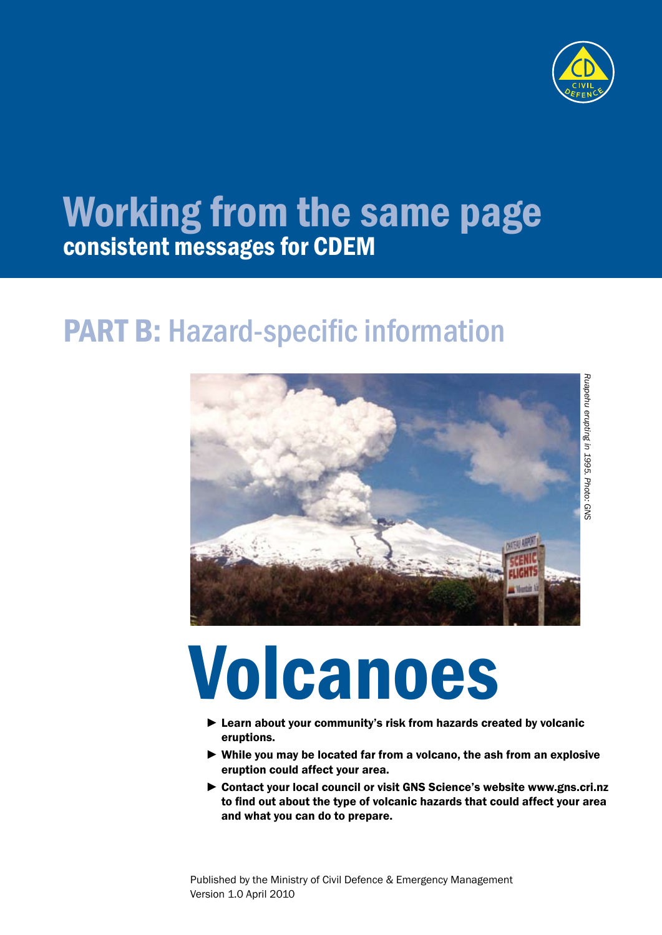

# Working from the same page consistent messages for CDEM

## PART B: Hazard-specific information



# Volcanoes

- ► Learn about your community's risk from hazards created by volcanic eruptions.
- ► While you may be located far from a volcano, the ash from an explosive eruption could affect your area.
- ► Contact your local council or visit GNS Science's website www.gns.cri.nz to find out about the type of volcanic hazards that could affect your area and what you can do to prepare.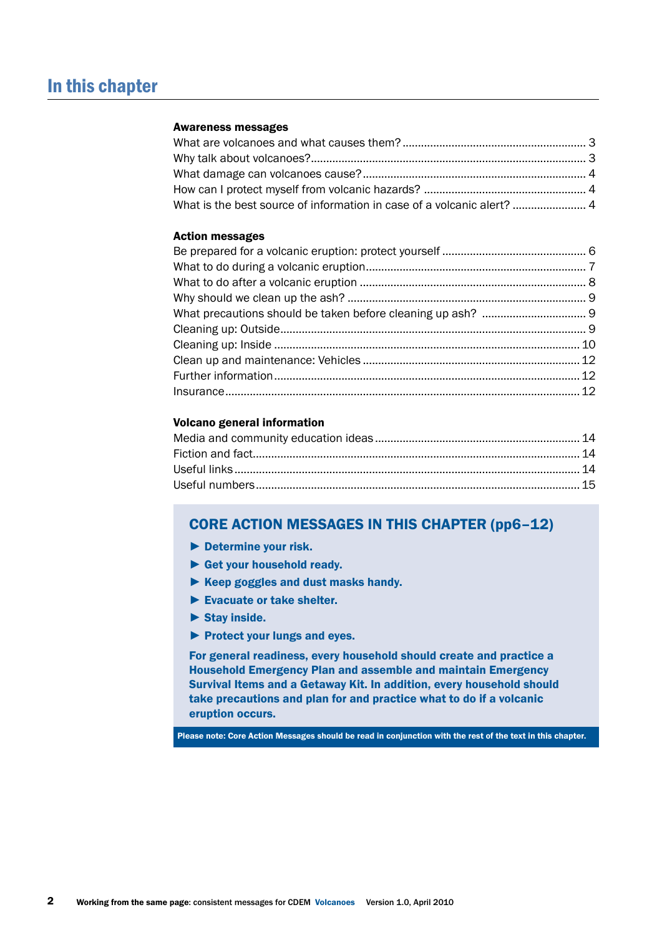#### Awareness messages

| What is the best source of information in case of a volcanic alert?  4 |  |
|------------------------------------------------------------------------|--|

#### Action messages

#### Volcano general information

#### CORE ACTION MESSAGES IN THIS CHAPTER (pp6–12)

- ► Determine your risk.
- ► Get your household ready.
- ► Keep goggles and dust masks handy.
- ► Evacuate or take shelter.
- $\blacktriangleright$  Stay inside.
- ► Protect your lungs and eyes.

For general readiness, every household should create and practice a Household Emergency Plan and assemble and maintain Emergency Survival Items and a Getaway Kit. In addition, every household should take precautions and plan for and practice what to do if a volcanic eruption occurs.

Please note: Core Action Messages should be read in conjunction with the rest of the text in this chapter.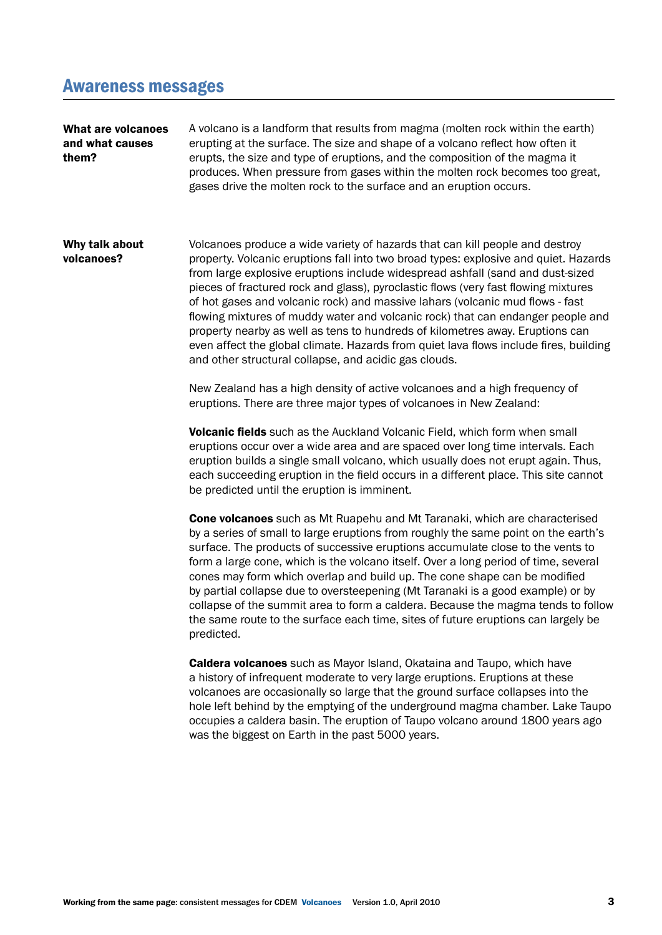### Awareness messages

| What are volcanoes<br>and what causes<br>them? | A volcano is a landform that results from magma (molten rock within the earth)<br>erupting at the surface. The size and shape of a volcano reflect how often it<br>erupts, the size and type of eruptions, and the composition of the magma it<br>produces. When pressure from gases within the molten rock becomes too great,<br>gases drive the molten rock to the surface and an eruption occurs.                                                                                                                                                                                                                                                                                                                                                |
|------------------------------------------------|-----------------------------------------------------------------------------------------------------------------------------------------------------------------------------------------------------------------------------------------------------------------------------------------------------------------------------------------------------------------------------------------------------------------------------------------------------------------------------------------------------------------------------------------------------------------------------------------------------------------------------------------------------------------------------------------------------------------------------------------------------|
| Why talk about<br>volcanoes?                   | Volcanoes produce a wide variety of hazards that can kill people and destroy<br>property. Volcanic eruptions fall into two broad types: explosive and quiet. Hazards<br>from large explosive eruptions include widespread ashfall (sand and dust-sized<br>pieces of fractured rock and glass), pyroclastic flows (very fast flowing mixtures<br>of hot gases and volcanic rock) and massive lahars (volcanic mud flows - fast<br>flowing mixtures of muddy water and volcanic rock) that can endanger people and<br>property nearby as well as tens to hundreds of kilometres away. Eruptions can<br>even affect the global climate. Hazards from quiet lava flows include fires, building<br>and other structural collapse, and acidic gas clouds. |
|                                                | New Zealand has a high density of active volcanoes and a high frequency of<br>eruptions. There are three major types of volcanoes in New Zealand:                                                                                                                                                                                                                                                                                                                                                                                                                                                                                                                                                                                                   |
|                                                | <b>Volcanic fields</b> such as the Auckland Volcanic Field, which form when small<br>eruptions occur over a wide area and are spaced over long time intervals. Each<br>eruption builds a single small volcano, which usually does not erupt again. Thus,<br>each succeeding eruption in the field occurs in a different place. This site cannot<br>be predicted until the eruption is imminent.                                                                                                                                                                                                                                                                                                                                                     |
|                                                | Cone volcanoes such as Mt Ruapehu and Mt Taranaki, which are characterised<br>by a series of small to large eruptions from roughly the same point on the earth's<br>surface. The products of successive eruptions accumulate close to the vents to<br>form a large cone, which is the volcano itself. Over a long period of time, several<br>cones may form which overlap and build up. The cone shape can be modified<br>by partial collapse due to oversteepening (Mt Taranaki is a good example) or by<br>collapse of the summit area to form a caldera. Because the magma tends to follow<br>the same route to the surface each time, sites of future eruptions can largely be<br>predicted.                                                    |
|                                                | <b>Caldera volcanoes</b> such as Mayor Island, Okataina and Taupo, which have<br>a history of infrequent moderate to very large eruptions. Eruptions at these<br>volcanoes are occasionally so large that the ground surface collapses into the<br>hole left behind by the emptying of the underground magma chamber. Lake Taupo<br>occupies a caldera basin. The eruption of Taupo volcano around 1800 years ago<br>was the biggest on Earth in the past 5000 years.                                                                                                                                                                                                                                                                               |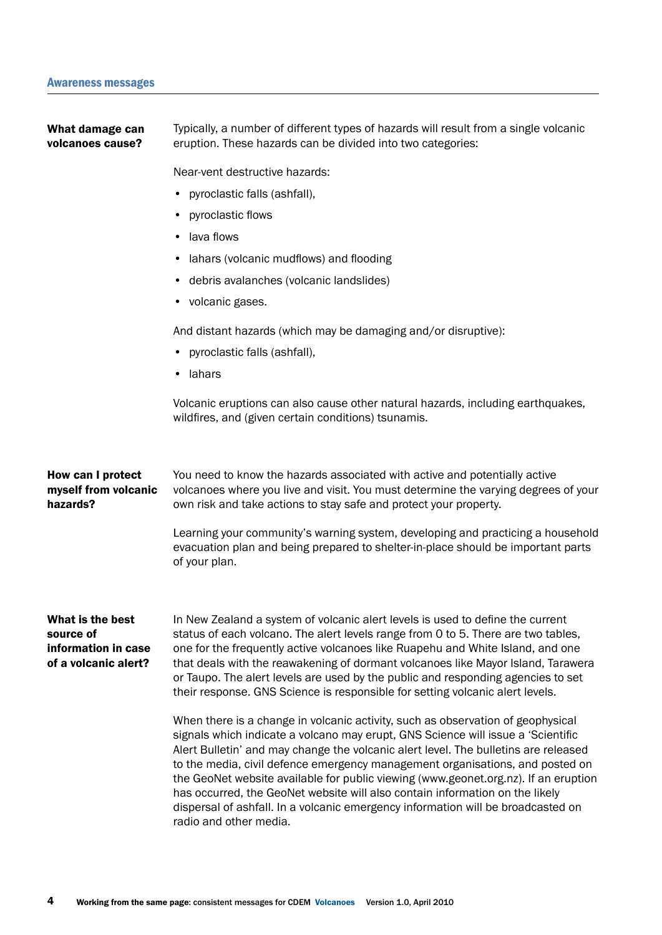Typically, a number of different types of hazards will result from a single volcanic eruption. These hazards can be divided into two categories: Near-vent destructive hazards: • pyroclastic falls (ashfall), • pyroclastic flows • lava flows • lahars (volcanic mudflows) and flooding • debris avalanches (volcanic landslides) • volcanic gases. And distant hazards (which may be damaging and/or disruptive): • pyroclastic falls (ashfall), • lahars Volcanic eruptions can also cause other natural hazards, including earthquakes, wildfires, and (given certain conditions) tsunamis. You need to know the hazards associated with active and potentially active volcanoes where you live and visit. You must determine the varying degrees of your own risk and take actions to stay safe and protect your property. Learning your community's warning system, developing and practicing a household evacuation plan and being prepared to shelter-in-place should be important parts of your plan. In New Zealand a system of volcanic alert levels is used to define the current status of each volcano. The alert levels range from 0 to 5. There are two tables, one for the frequently active volcanoes like Ruapehu and White Island, and one that deals with the reawakening of dormant volcanoes like Mayor Island, Tarawera or Taupo. The alert levels are used by the public and responding agencies to set their response. GNS Science is responsible for setting volcanic alert levels. When there is a change in volcanic activity, such as observation of geophysical signals which indicate a volcano may erupt, GNS Science will issue a 'Scientific Alert Bulletin' and may change the volcanic alert level. The bulletins are released to the media, civil defence emergency management organisations, and posted on the GeoNet website available for public viewing (www.geonet.org.nz). If an eruption has occurred, the GeoNet website will also contain information on the likely dispersal of ashfall. In a volcanic emergency information will be broadcasted on radio and other media. What damage can volcanoes cause? How can I protect myself from volcanic hazards? What is the best source of information in case of a volcanic alert?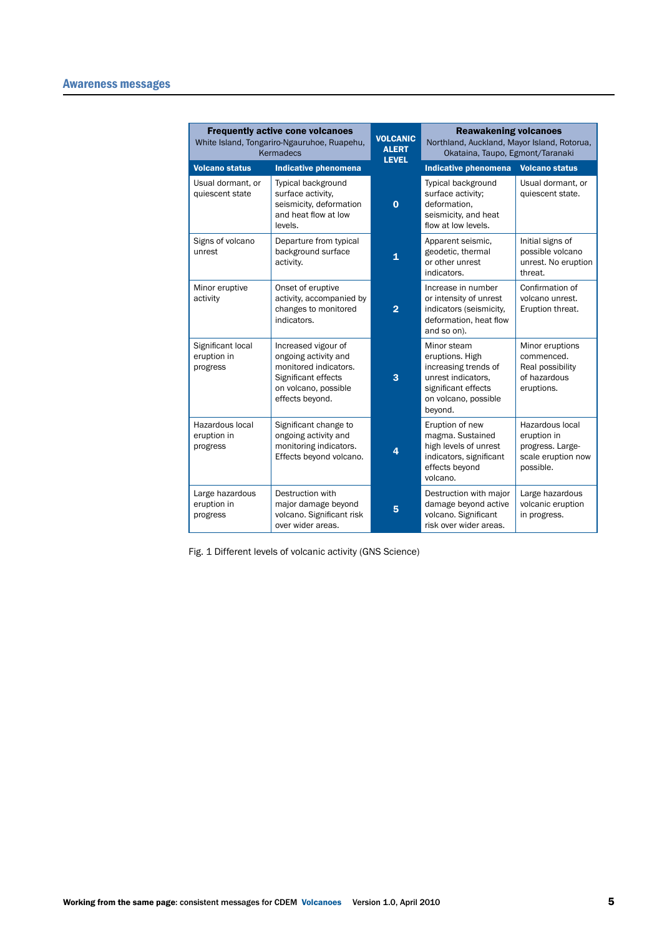|                                              | <b>Frequently active cone volcanoes</b><br>White Island, Tongariro-Ngauruhoe, Ruapehu,<br>Kermadecs                                    | <b>VOLCANIC</b><br><b>ALERT</b><br><b>LEVEL</b> | <b>Reawakening volcanoes</b><br>Northland, Auckland, Mayor Island, Rotorua,<br>Okataina, Taupo, Egmont/Taranaki                        |                                                                                       |
|----------------------------------------------|----------------------------------------------------------------------------------------------------------------------------------------|-------------------------------------------------|----------------------------------------------------------------------------------------------------------------------------------------|---------------------------------------------------------------------------------------|
| <b>Volcano status</b>                        | <b>Indicative phenomena</b>                                                                                                            |                                                 | <b>Indicative phenomena</b>                                                                                                            | <b>Volcano status</b>                                                                 |
| Usual dormant, or<br>quiescent state         | Typical background<br>surface activity.<br>seismicity, deformation<br>and heat flow at low<br>levels.                                  | $\bf{0}$                                        | Typical background<br>surface activity;<br>deformation.<br>seismicity, and heat<br>flow at low levels.                                 | Usual dormant, or<br>quiescent state.                                                 |
| Signs of volcano<br>unrest                   | Departure from typical<br>background surface<br>activity.                                                                              | 1                                               | Apparent seismic,<br>geodetic, thermal<br>or other unrest<br>indicators.                                                               | Initial signs of<br>possible volcano<br>unrest. No eruption<br>threat.                |
| Minor eruptive<br>activity                   | Onset of eruptive<br>activity, accompanied by<br>changes to monitored<br>indicators.                                                   | $\overline{2}$                                  | Increase in number<br>or intensity of unrest<br>indicators (seismicity,<br>deformation, heat flow<br>and so on).                       | Confirmation of<br>volcano unrest.<br>Eruption threat.                                |
| Significant local<br>eruption in<br>progress | Increased vigour of<br>ongoing activity and<br>monitored indicators.<br>Significant effects<br>on volcano, possible<br>effects beyond. | 3                                               | Minor steam<br>eruptions. High<br>increasing trends of<br>unrest indicators.<br>significant effects<br>on volcano, possible<br>beyond. | Minor eruptions<br>commenced.<br>Real possibility<br>of hazardous<br>eruptions.       |
| Hazardous local<br>eruption in<br>progress   | Significant change to<br>ongoing activity and<br>monitoring indicators.<br>Effects beyond volcano.                                     | 4                                               | Eruption of new<br>magma. Sustained<br>high levels of unrest<br>indicators, significant<br>effects beyond<br>volcano.                  | Hazardous local<br>eruption in<br>progress. Large-<br>scale eruption now<br>possible. |
| Large hazardous<br>eruption in<br>progress   | Destruction with<br>major damage beyond<br>volcano. Significant risk<br>over wider areas.                                              | 5                                               | Destruction with major<br>damage beyond active<br>volcano. Significant<br>risk over wider areas.                                       | Large hazardous<br>volcanic eruption<br>in progress.                                  |

Fig. 1 Different levels of volcanic activity (GNS Science)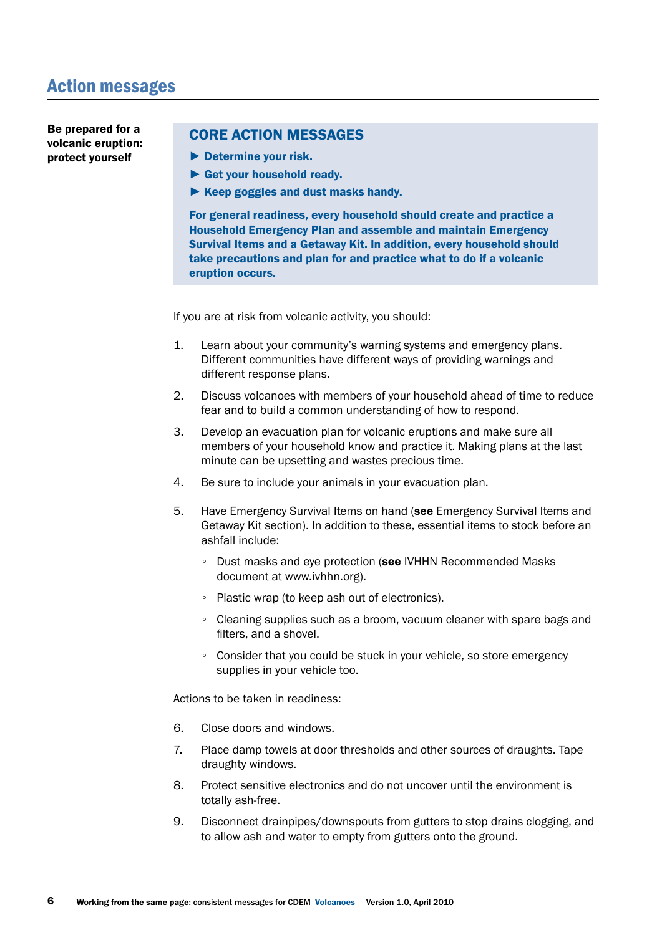Be prepared for a volcanic eruption: protect yourself

#### CORE ACTION MESSAGES

- ► Determine your risk.
- ► Get your household ready.
- ► Keep goggles and dust masks handy.

For general readiness, every household should create and practice a Household Emergency Plan and assemble and maintain Emergency Survival Items and a Getaway Kit. In addition, every household should take precautions and plan for and practice what to do if a volcanic eruption occurs.

If you are at risk from volcanic activity, you should:

- 1. Learn about your community's warning systems and emergency plans. Different communities have different ways of providing warnings and different response plans.
- 2. Discuss volcanoes with members of your household ahead of time to reduce fear and to build a common understanding of how to respond.
- 3. Develop an evacuation plan for volcanic eruptions and make sure all members of your household know and practice it. Making plans at the last minute can be upsetting and wastes precious time.
- 4. Be sure to include your animals in your evacuation plan.
- 5. Have Emergency Survival Items on hand (see Emergency Survival Items and Getaway Kit section). In addition to these, essential items to stock before an ashfall include:
	- Dust masks and eye protection (see IVHHN Recommended Masks document at www.ivhhn.org).
	- Plastic wrap (to keep ash out of electronics).
	- Cleaning supplies such as a broom, vacuum cleaner with spare bags and filters, and a shovel.
	- Consider that you could be stuck in your vehicle, so store emergency supplies in your vehicle too.

Actions to be taken in readiness:

- 6. Close doors and windows.
- 7. Place damp towels at door thresholds and other sources of draughts. Tape draughty windows.
- 8. Protect sensitive electronics and do not uncover until the environment is totally ash-free.
- 9. Disconnect drainpipes/downspouts from gutters to stop drains clogging, and to allow ash and water to empty from gutters onto the ground.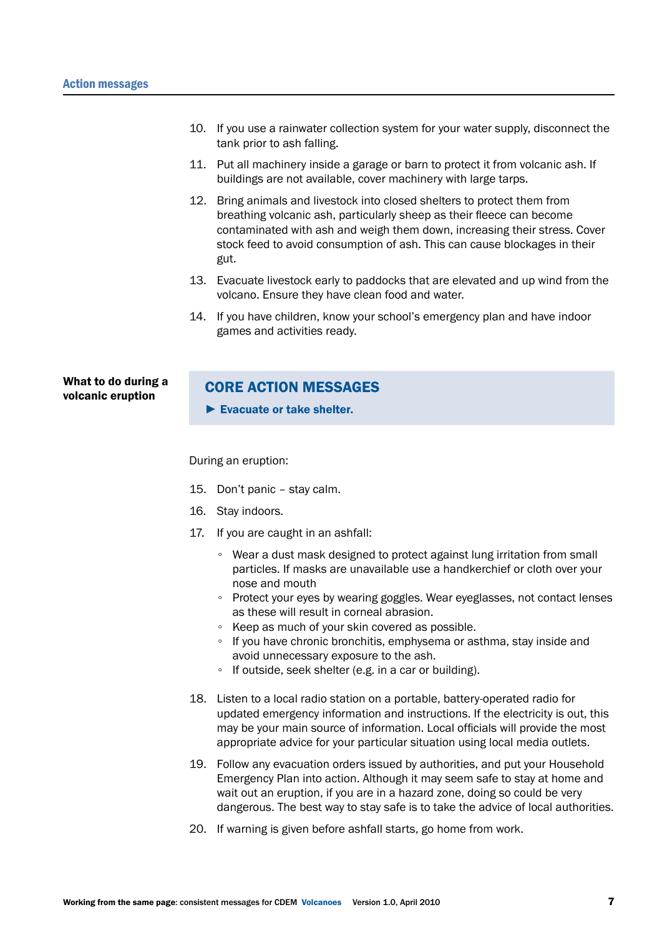- 10. If you use a rainwater collection system for your water supply, disconnect the tank prior to ash falling.
- 11. Put all machinery inside a garage or barn to protect it from volcanic ash. If buildings are not available, cover machinery with large tarps.
- 12. Bring animals and livestock into closed shelters to protect them from breathing volcanic ash, particularly sheep as their fleece can become contaminated with ash and weigh them down, increasing their stress. Cover stock feed to avoid consumption of ash. This can cause blockages in their gut.
- 13. Evacuate livestock early to paddocks that are elevated and up wind from the volcano. Ensure they have clean food and water.
- 14. If you have children, know your school's emergency plan and have indoor games and activities ready.

What to do during a volcanic eruption

#### CORE ACTION MESSAGES

► Evacuate or take shelter.

During an eruption:

- 15. Don't panic stay calm.
- 16. Stay indoors.
- 17. If you are caught in an ashfall:
	- Wear a dust mask designed to protect against lung irritation from small particles. If masks are unavailable use a handkerchief or cloth over your nose and mouth
	- Protect your eyes by wearing goggles. Wear eyeglasses, not contact lenses as these will result in corneal abrasion.
	- Keep as much of your skin covered as possible.
	- If you have chronic bronchitis, emphysema or asthma, stay inside and avoid unnecessary exposure to the ash.
	- If outside, seek shelter (e.g. in a car or building).
- 18. Listen to a local radio station on a portable, battery-operated radio for updated emergency information and instructions. If the electricity is out, this may be your main source of information. Local officials will provide the most appropriate advice for your particular situation using local media outlets.
- 19. Follow any evacuation orders issued by authorities, and put your Household Emergency Plan into action. Although it may seem safe to stay at home and wait out an eruption, if you are in a hazard zone, doing so could be very dangerous. The best way to stay safe is to take the advice of local authorities.
- 20. If warning is given before ashfall starts, go home from work.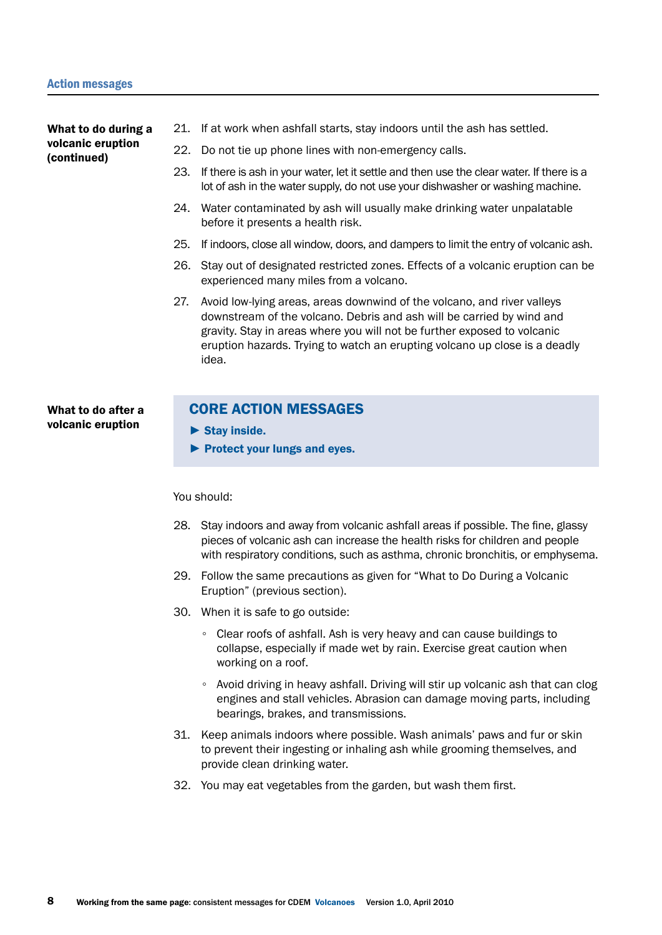What to do during a volcanic eruption (continued)

- 21. If at work when ashfall starts, stay indoors until the ash has settled.
- 22. Do not tie up phone lines with non-emergency calls.
- 23. If there is ash in your water, let it settle and then use the clear water. If there is a lot of ash in the water supply, do not use your dishwasher or washing machine.
- 24. Water contaminated by ash will usually make drinking water unpalatable before it presents a health risk.
- 25. If indoors, close all window, doors, and dampers to limit the entry of volcanic ash.
- 26. Stay out of designated restricted zones. Effects of a volcanic eruption can be experienced many miles from a volcano.
- 27. Avoid low-lying areas, areas downwind of the volcano, and river valleys downstream of the volcano. Debris and ash will be carried by wind and gravity. Stay in areas where you will not be further exposed to volcanic eruption hazards. Trying to watch an erupting volcano up close is a deadly idea.

What to do after a volcanic eruption

#### CORE ACTION MESSAGES

 $\blacktriangleright$  Stav inside.

► Protect your lungs and eyes.

#### You should:

- 28. Stay indoors and away from volcanic ashfall areas if possible. The fine, glassy pieces of volcanic ash can increase the health risks for children and people with respiratory conditions, such as asthma, chronic bronchitis, or emphysema.
- 29. Follow the same precautions as given for "What to Do During a Volcanic Eruption" (previous section).
- 30. When it is safe to go outside:
	- Clear roofs of ashfall. Ash is very heavy and can cause buildings to collapse, especially if made wet by rain. Exercise great caution when working on a roof.
	- Avoid driving in heavy ashfall. Driving will stir up volcanic ash that can clog engines and stall vehicles. Abrasion can damage moving parts, including bearings, brakes, and transmissions.
- 31. Keep animals indoors where possible. Wash animals' paws and fur or skin to prevent their ingesting or inhaling ash while grooming themselves, and provide clean drinking water.
- 32. You may eat vegetables from the garden, but wash them first.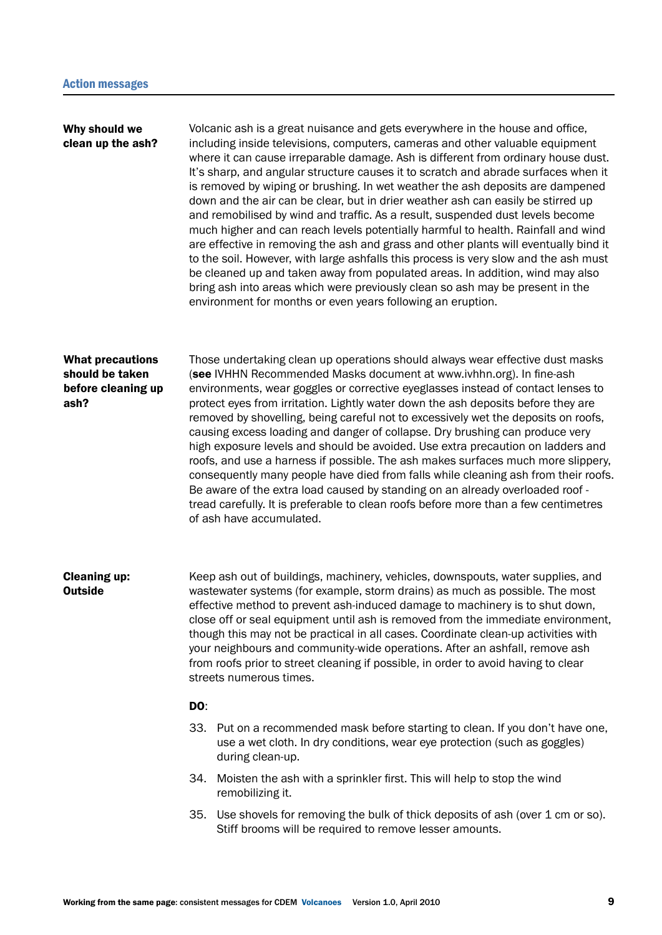| Why should we<br>clean up the ash?                                       |                                                                                                                                                                                                                                                                                                                                                                                                                                                                                                                                                                                                                           | Volcanic ash is a great nuisance and gets everywhere in the house and office,<br>including inside televisions, computers, cameras and other valuable equipment<br>where it can cause irreparable damage. Ash is different from ordinary house dust.<br>It's sharp, and angular structure causes it to scratch and abrade surfaces when it<br>is removed by wiping or brushing. In wet weather the ash deposits are dampened<br>down and the air can be clear, but in drier weather ash can easily be stirred up<br>and remobilised by wind and traffic. As a result, suspended dust levels become<br>much higher and can reach levels potentially harmful to health. Rainfall and wind<br>are effective in removing the ash and grass and other plants will eventually bind it<br>to the soil. However, with large ashfalls this process is very slow and the ash must<br>be cleaned up and taken away from populated areas. In addition, wind may also<br>bring ash into areas which were previously clean so ash may be present in the<br>environment for months or even years following an eruption. |
|--------------------------------------------------------------------------|---------------------------------------------------------------------------------------------------------------------------------------------------------------------------------------------------------------------------------------------------------------------------------------------------------------------------------------------------------------------------------------------------------------------------------------------------------------------------------------------------------------------------------------------------------------------------------------------------------------------------|---------------------------------------------------------------------------------------------------------------------------------------------------------------------------------------------------------------------------------------------------------------------------------------------------------------------------------------------------------------------------------------------------------------------------------------------------------------------------------------------------------------------------------------------------------------------------------------------------------------------------------------------------------------------------------------------------------------------------------------------------------------------------------------------------------------------------------------------------------------------------------------------------------------------------------------------------------------------------------------------------------------------------------------------------------------------------------------------------------|
| <b>What precautions</b><br>should be taken<br>before cleaning up<br>ash? |                                                                                                                                                                                                                                                                                                                                                                                                                                                                                                                                                                                                                           | Those undertaking clean up operations should always wear effective dust masks<br>(see IVHHN Recommended Masks document at www.ivhhn.org). In fine-ash<br>environments, wear goggles or corrective eyeglasses instead of contact lenses to<br>protect eyes from irritation. Lightly water down the ash deposits before they are<br>removed by shovelling, being careful not to excessively wet the deposits on roofs,<br>causing excess loading and danger of collapse. Dry brushing can produce very<br>high exposure levels and should be avoided. Use extra precaution on ladders and<br>roofs, and use a harness if possible. The ash makes surfaces much more slippery,<br>consequently many people have died from falls while cleaning ash from their roofs.<br>Be aware of the extra load caused by standing on an already overloaded roof -<br>tread carefully. It is preferable to clean roofs before more than a few centimetres<br>of ash have accumulated.                                                                                                                                   |
| <b>Cleaning up:</b><br><b>Outside</b>                                    | Keep ash out of buildings, machinery, vehicles, downspouts, water supplies, and<br>wastewater systems (for example, storm drains) as much as possible. The most<br>effective method to prevent ash-induced damage to machinery is to shut down,<br>close off or seal equipment until ash is removed from the immediate environment,<br>though this may not be practical in all cases. Coordinate clean-up activities with<br>your neighbours and community-wide operations. After an ashfall, remove ash<br>from roofs prior to street cleaning if possible, in order to avoid having to clear<br>streets numerous times. |                                                                                                                                                                                                                                                                                                                                                                                                                                                                                                                                                                                                                                                                                                                                                                                                                                                                                                                                                                                                                                                                                                         |
|                                                                          | DO:<br>33.                                                                                                                                                                                                                                                                                                                                                                                                                                                                                                                                                                                                                | Put on a recommended mask before starting to clean. If you don't have one,<br>use a wet cloth. In dry conditions, wear eye protection (such as goggles)<br>during clean-up.                                                                                                                                                                                                                                                                                                                                                                                                                                                                                                                                                                                                                                                                                                                                                                                                                                                                                                                             |
|                                                                          |                                                                                                                                                                                                                                                                                                                                                                                                                                                                                                                                                                                                                           | 34. Moisten the ash with a sprinkler first. This will help to stop the wind<br>remobilizing it.                                                                                                                                                                                                                                                                                                                                                                                                                                                                                                                                                                                                                                                                                                                                                                                                                                                                                                                                                                                                         |
|                                                                          |                                                                                                                                                                                                                                                                                                                                                                                                                                                                                                                                                                                                                           | 35. Use shovels for removing the bulk of thick deposits of ash (over 1 cm or so).<br>Stiff brooms will be required to remove lesser amounts.                                                                                                                                                                                                                                                                                                                                                                                                                                                                                                                                                                                                                                                                                                                                                                                                                                                                                                                                                            |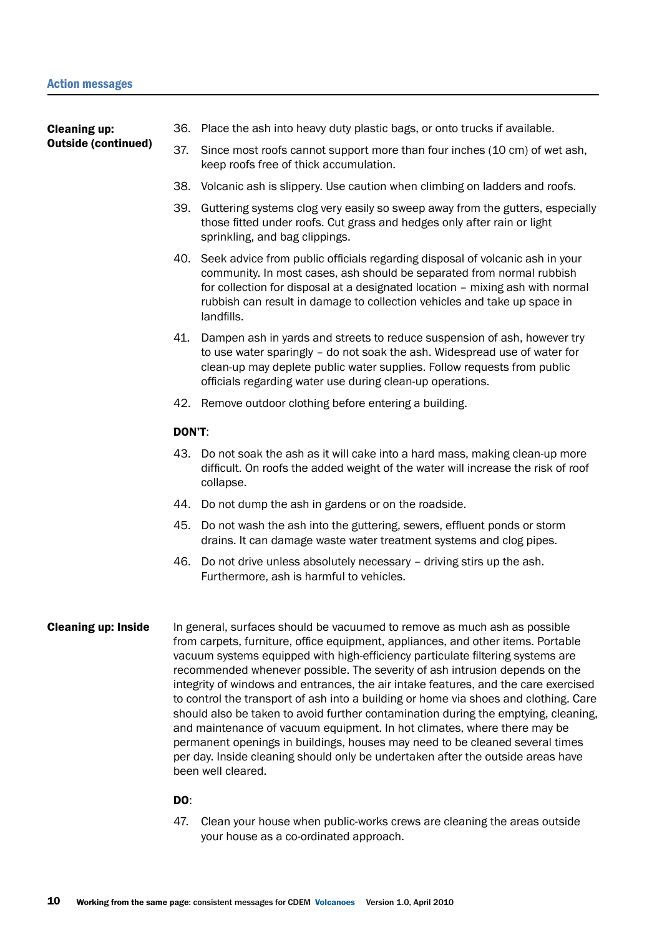Cleaning up: Outside (continued)

- 36. Place the ash into heavy duty plastic bags, or onto trucks if available.
- 37. Since most roofs cannot support more than four inches (10 cm) of wet ash, keep roofs free of thick accumulation.
- 38. Volcanic ash is slippery. Use caution when climbing on ladders and roofs.
- 39. Guttering systems clog very easily so sweep away from the gutters, especially those fitted under roofs. Cut grass and hedges only after rain or light sprinkling, and bag clippings.
- 40. Seek advice from public officials regarding disposal of volcanic ash in your community. In most cases, ash should be separated from normal rubbish for collection for disposal at a designated location – mixing ash with normal rubbish can result in damage to collection vehicles and take up space in landfills.
- 41. Dampen ash in yards and streets to reduce suspension of ash, however try to use water sparingly – do not soak the ash. Widespread use of water for clean-up may deplete public water supplies. Follow requests from public officials regarding water use during clean-up operations.
- 42. Remove outdoor clothing before entering a building.

#### DON'T:

- 43. Do not soak the ash as it will cake into a hard mass, making clean-up more difficult. On roofs the added weight of the water will increase the risk of roof collapse.
- 44. Do not dump the ash in gardens or on the roadside.
- 45. Do not wash the ash into the guttering, sewers, effluent ponds or storm drains. It can damage waste water treatment systems and clog pipes.
- 46. Do not drive unless absolutely necessary driving stirs up the ash. Furthermore, ash is harmful to vehicles.
- In general, surfaces should be vacuumed to remove as much ash as possible from carpets, furniture, office equipment, appliances, and other items. Portable vacuum systems equipped with high-efficiency particulate filtering systems are recommended whenever possible. The severity of ash intrusion depends on the integrity of windows and entrances, the air intake features, and the care exercised to control the transport of ash into a building or home via shoes and clothing. Care should also be taken to avoid further contamination during the emptying, cleaning, and maintenance of vacuum equipment. In hot climates, where there may be permanent openings in buildings, houses may need to be cleaned several times per day. Inside cleaning should only be undertaken after the outside areas have been well cleared. Cleaning up: Inside

#### DO:

47. Clean your house when public-works crews are cleaning the areas outside your house as a co-ordinated approach.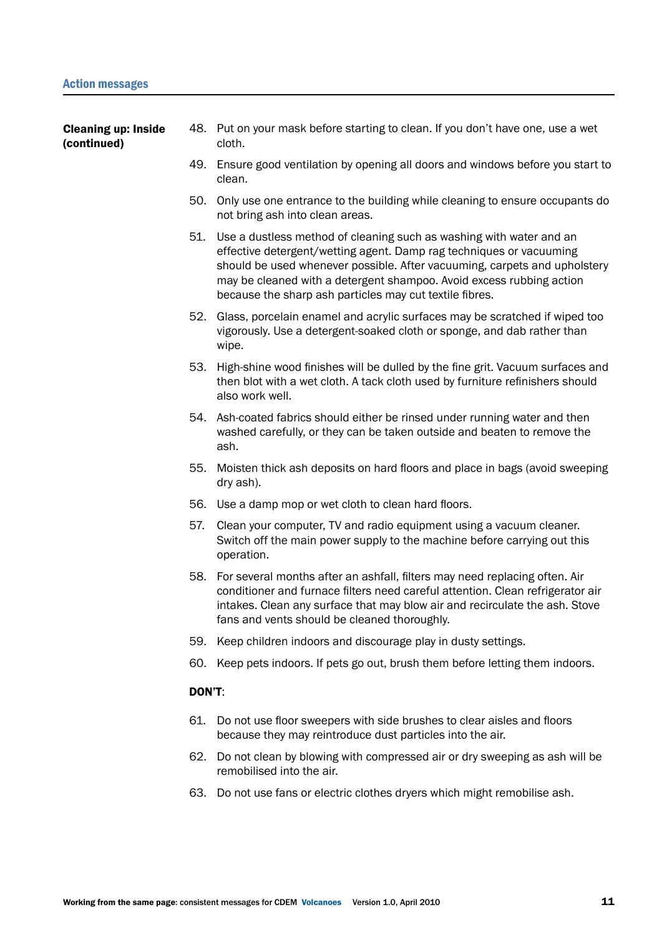| <b>Cleaning up: Inside</b><br>(continued) |     | 48. Put on your mask before starting to clean. If you don't have one, use a wet<br>cloth.                                                                                                                                                                                                                                                                  |
|-------------------------------------------|-----|------------------------------------------------------------------------------------------------------------------------------------------------------------------------------------------------------------------------------------------------------------------------------------------------------------------------------------------------------------|
|                                           |     | 49. Ensure good ventilation by opening all doors and windows before you start to<br>clean.                                                                                                                                                                                                                                                                 |
|                                           | 50. | Only use one entrance to the building while cleaning to ensure occupants do<br>not bring ash into clean areas.                                                                                                                                                                                                                                             |
|                                           | 51. | Use a dustless method of cleaning such as washing with water and an<br>effective detergent/wetting agent. Damp rag techniques or vacuuming<br>should be used whenever possible. After vacuuming, carpets and upholstery<br>may be cleaned with a detergent shampoo. Avoid excess rubbing action<br>because the sharp ash particles may cut textile fibres. |
|                                           |     | 52. Glass, porcelain enamel and acrylic surfaces may be scratched if wiped too<br>vigorously. Use a detergent-soaked cloth or sponge, and dab rather than<br>wipe.                                                                                                                                                                                         |
|                                           |     | 53. High-shine wood finishes will be dulled by the fine grit. Vacuum surfaces and<br>then blot with a wet cloth. A tack cloth used by furniture refinishers should<br>also work well.                                                                                                                                                                      |
|                                           |     | 54. Ash-coated fabrics should either be rinsed under running water and then<br>washed carefully, or they can be taken outside and beaten to remove the<br>ash.                                                                                                                                                                                             |
|                                           | 55. | Moisten thick ash deposits on hard floors and place in bags (avoid sweeping<br>dry ash).                                                                                                                                                                                                                                                                   |
|                                           |     | 56. Use a damp mop or wet cloth to clean hard floors.                                                                                                                                                                                                                                                                                                      |
|                                           | 57. | Clean your computer, TV and radio equipment using a vacuum cleaner.<br>Switch off the main power supply to the machine before carrying out this<br>operation.                                                                                                                                                                                              |
|                                           |     | 58. For several months after an ashfall, filters may need replacing often. Air<br>conditioner and furnace filters need careful attention. Clean refrigerator air<br>intakes. Clean any surface that may blow air and recirculate the ash. Stove<br>fans and vents should be cleaned thoroughly.                                                            |
|                                           | 59. | Keep children indoors and discourage play in dusty settings.                                                                                                                                                                                                                                                                                               |
|                                           | 60. | Keep pets indoors. If pets go out, brush them before letting them indoors.                                                                                                                                                                                                                                                                                 |
|                                           |     |                                                                                                                                                                                                                                                                                                                                                            |

#### DON'T:

- 61. Do not use floor sweepers with side brushes to clear aisles and floors because they may reintroduce dust particles into the air.
- 62. Do not clean by blowing with compressed air or dry sweeping as ash will be remobilised into the air.
- 63. Do not use fans or electric clothes dryers which might remobilise ash.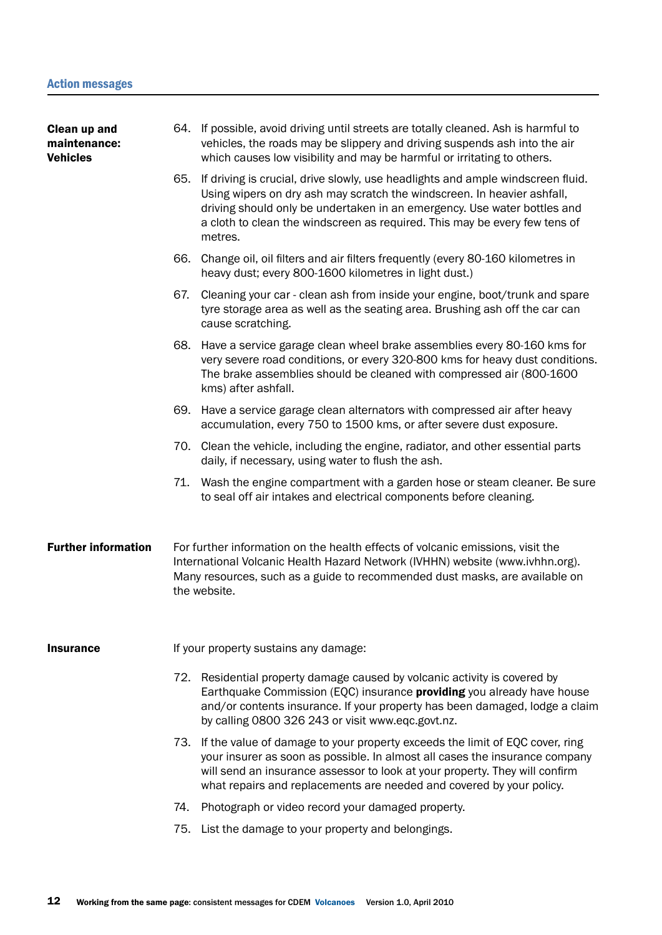64. If possible, avoid driving until streets are totally cleaned. Ash is harmful to vehicles, the roads may be slippery and driving suspends ash into the air which causes low visibility and may be harmful or irritating to others. 65. If driving is crucial, drive slowly, use headlights and ample windscreen fluid. Using wipers on dry ash may scratch the windscreen. In heavier ashfall, driving should only be undertaken in an emergency. Use water bottles and a cloth to clean the windscreen as required. This may be every few tens of metres. 66. Change oil, oil filters and air filters frequently (every 80-160 kilometres in heavy dust; every 800-1600 kilometres in light dust.) 67. Cleaning your car - clean ash from inside your engine, boot/trunk and spare tyre storage area as well as the seating area. Brushing ash off the car can cause scratching. 68. Have a service garage clean wheel brake assemblies every 80-160 kms for very severe road conditions, or every 320-800 kms for heavy dust conditions. The brake assemblies should be cleaned with compressed air (800-1600 kms) after ashfall. 69. Have a service garage clean alternators with compressed air after heavy accumulation, every 750 to 1500 kms, or after severe dust exposure. 70. Clean the vehicle, including the engine, radiator, and other essential parts daily, if necessary, using water to flush the ash. 71. Wash the engine compartment with a garden hose or steam cleaner. Be sure to seal off air intakes and electrical components before cleaning. For further information on the health effects of volcanic emissions, visit the International Volcanic Health Hazard Network (IVHHN) website (www.ivhhn.org). Many resources, such as a guide to recommended dust masks, are available on the website. If your property sustains any damage: 72. Residential property damage caused by volcanic activity is covered by Earthquake Commission (EQC) insurance **providing** you already have house and/or contents insurance. If your property has been damaged, lodge a claim by calling 0800 326 243 or visit www.eqc.govt.nz. 73. If the value of damage to your property exceeds the limit of EQC cover, ring your insurer as soon as possible. In almost all cases the insurance company will send an insurance assessor to look at your property. They will confirm what repairs and replacements are needed and covered by your policy. 74. Photograph or video record your damaged property. 75. List the damage to your property and belongings. Clean up and maintenance: Vehicles Further information **Insurance**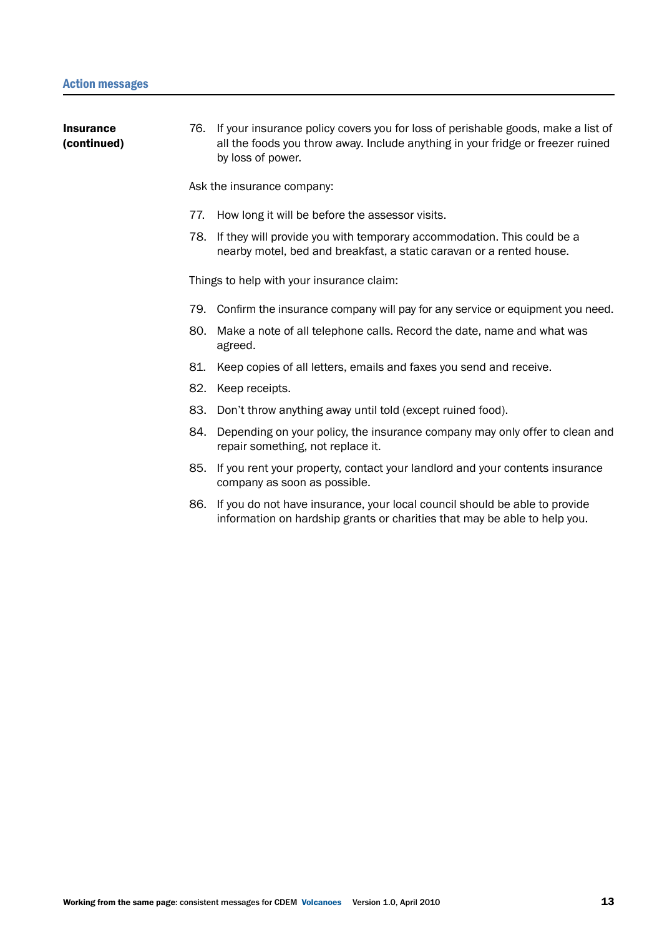| <b>Insurance</b><br>(continued) |     | 76. If your insurance policy covers you for loss of perishable goods, make a list of<br>all the foods you throw away. Include anything in your fridge or freezer ruined<br>by loss of power. |
|---------------------------------|-----|----------------------------------------------------------------------------------------------------------------------------------------------------------------------------------------------|
|                                 |     | Ask the insurance company:                                                                                                                                                                   |
|                                 | 77. | How long it will be before the assessor visits.                                                                                                                                              |
|                                 |     | 78. If they will provide you with temporary accommodation. This could be a<br>nearby motel, bed and breakfast, a static caravan or a rented house.                                           |
|                                 |     | Things to help with your insurance claim:                                                                                                                                                    |
|                                 |     | 79. Confirm the insurance company will pay for any service or equipment you need.                                                                                                            |
|                                 |     | 80. Make a note of all telephone calls. Record the date, name and what was<br>agreed.                                                                                                        |
|                                 | 81. | Keep copies of all letters, emails and faxes you send and receive.                                                                                                                           |
|                                 | 82. | Keep receipts.                                                                                                                                                                               |
|                                 | 83. | Don't throw anything away until told (except ruined food).                                                                                                                                   |
|                                 |     | 84. Depending on your policy, the insurance company may only offer to clean and<br>repair something, not replace it.                                                                         |
|                                 |     | 85. If you rent your property, contact your landlord and your contents insurance<br>company as soon as possible.                                                                             |
|                                 | 86. | If you do not have insurance, your local council should be able to provide<br>information on hardship grants or charities that may be able to help you.                                      |
|                                 |     |                                                                                                                                                                                              |
|                                 |     |                                                                                                                                                                                              |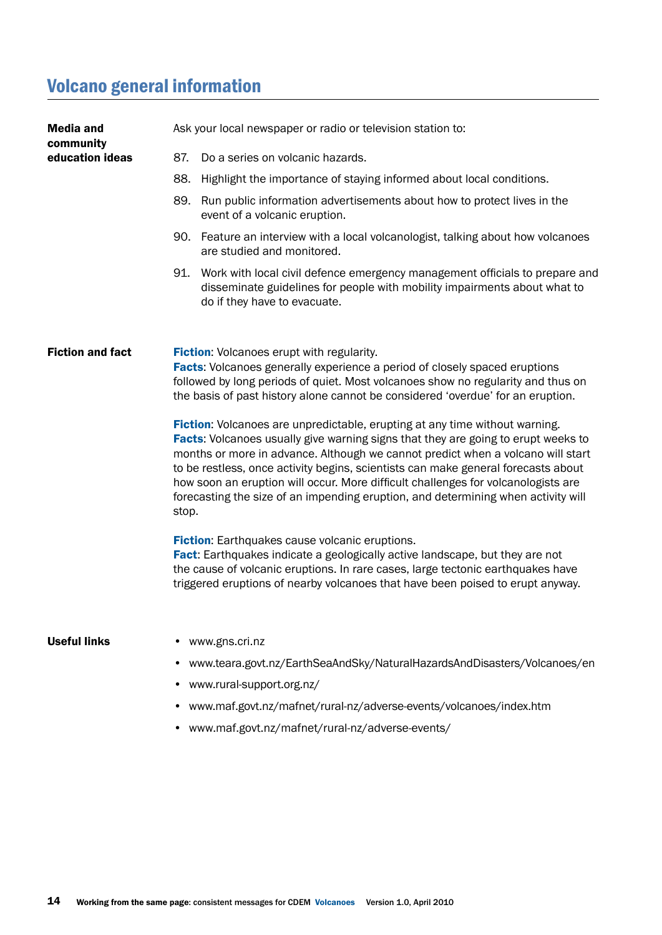## Volcano general information

| <b>Media and</b><br>community | Ask your local newspaper or radio or television station to:                                                                                                                                                                                                                                                                                                                                                                                                                                                                 |  |  |  |
|-------------------------------|-----------------------------------------------------------------------------------------------------------------------------------------------------------------------------------------------------------------------------------------------------------------------------------------------------------------------------------------------------------------------------------------------------------------------------------------------------------------------------------------------------------------------------|--|--|--|
| education ideas               | 87.<br>Do a series on volcanic hazards.                                                                                                                                                                                                                                                                                                                                                                                                                                                                                     |  |  |  |
|                               | 88.<br>Highlight the importance of staying informed about local conditions.                                                                                                                                                                                                                                                                                                                                                                                                                                                 |  |  |  |
|                               | 89.<br>Run public information advertisements about how to protect lives in the<br>event of a volcanic eruption.                                                                                                                                                                                                                                                                                                                                                                                                             |  |  |  |
|                               | 90. Feature an interview with a local volcanologist, talking about how volcanoes<br>are studied and monitored.                                                                                                                                                                                                                                                                                                                                                                                                              |  |  |  |
|                               | 91.<br>Work with local civil defence emergency management officials to prepare and<br>disseminate guidelines for people with mobility impairments about what to<br>do if they have to evacuate.                                                                                                                                                                                                                                                                                                                             |  |  |  |
| <b>Fiction and fact</b>       | Fiction: Volcanoes erupt with regularity.<br><b>Facts:</b> Volcanoes generally experience a period of closely spaced eruptions<br>followed by long periods of quiet. Most volcanoes show no regularity and thus on<br>the basis of past history alone cannot be considered 'overdue' for an eruption.                                                                                                                                                                                                                       |  |  |  |
|                               | Fiction: Volcanoes are unpredictable, erupting at any time without warning.<br>Facts: Volcanoes usually give warning signs that they are going to erupt weeks to<br>months or more in advance. Although we cannot predict when a volcano will start<br>to be restless, once activity begins, scientists can make general forecasts about<br>how soon an eruption will occur. More difficult challenges for volcanologists are<br>forecasting the size of an impending eruption, and determining when activity will<br>stop. |  |  |  |
|                               | Fiction: Earthquakes cause volcanic eruptions.<br>Fact: Earthquakes indicate a geologically active landscape, but they are not<br>the cause of volcanic eruptions. In rare cases, large tectonic earthquakes have<br>triggered eruptions of nearby volcanoes that have been poised to erupt anyway.                                                                                                                                                                                                                         |  |  |  |
| <b>Useful links</b>           | www.gns.cri.nz                                                                                                                                                                                                                                                                                                                                                                                                                                                                                                              |  |  |  |
|                               | www.teara.govt.nz/EarthSeaAndSky/NaturalHazardsAndDisasters/Volcanoes/en                                                                                                                                                                                                                                                                                                                                                                                                                                                    |  |  |  |
|                               | www.rural-support.org.nz/                                                                                                                                                                                                                                                                                                                                                                                                                                                                                                   |  |  |  |
|                               | • www.maf.govt.nz/mafnet/rural-nz/adverse-events/volcanoes/index.htm                                                                                                                                                                                                                                                                                                                                                                                                                                                        |  |  |  |

• www.maf.govt.nz/mafnet/rural-nz/adverse-events/